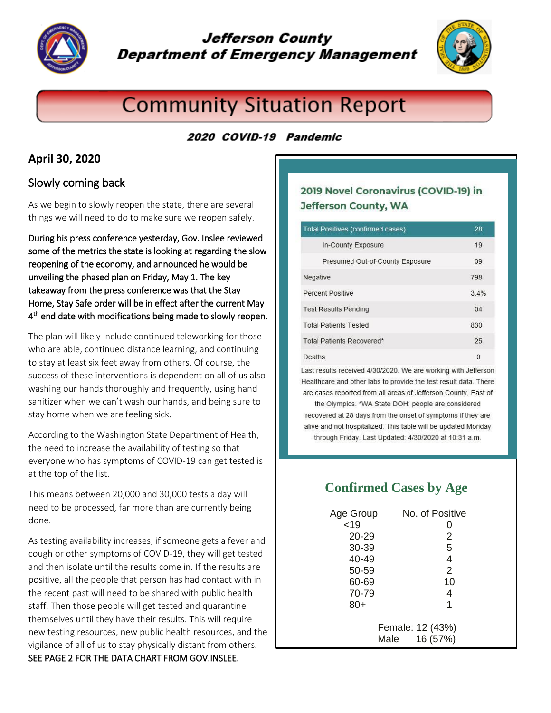

## **Jefferson County Department of Emergency Management**



# **Community Situation Report**

#### 2020 COVID-19 Pandemic

#### **April 30, 2020**

#### Slowly coming back

As we begin to slowly reopen the state, there are several things we will need to do to make sure we reopen safely.

During his press conference yesterday, Gov. Inslee reviewed some of the metrics the state is looking at regarding the slow reopening of the economy, and announced he would be unveiling the phased plan on Friday, May 1. The key takeaway from the press conference was that the Stay Home, Stay Safe order will be in effect after the current May 4<sup>th</sup> end date with modifications being made to slowly reopen.

The plan will likely include continued teleworking for those who are able, continued distance learning, and continuing to stay at least six feet away from others. Of course, the success of these interventions is dependent on all of us also washing our hands thoroughly and frequently, using hand sanitizer when we can't wash our hands, and being sure to stay home when we are feeling sick.

According to the Washington State Department of Health, the need to increase the availability of testing so that everyone who has symptoms of COVID-19 can get tested is at the top of the list.

This means between 20,000 and 30,000 tests a day will need to be processed, far more than are currently being done.

As testing availability increases, if someone gets a fever and cough or other symptoms of COVID-19, they will get tested and then isolate until the results come in. If the results are positive, all the people that person has had contact with in the recent past will need to be shared with public health staff. Then those people will get tested and quarantine themselves until they have their results. This will require new testing resources, new public health resources, and the vigilance of all of us to stay physically distant from others. SEE PAGE 2 FOR THE DATA CHART FROM GOV.INSLEE.

#### 2019 Novel Coronavirus (COVID-19) in **Jefferson County, WA**

| <b>Total Positives (confirmed cases)</b> | 28   |
|------------------------------------------|------|
| In-County Exposure                       | 19   |
| Presumed Out-of-County Exposure          | 09   |
| Negative                                 | 798  |
| Percent Positive                         | 3.4% |
| <b>Test Results Pending</b>              | 04   |
| <b>Total Patients Tested</b>             | 830  |
| Total Patients Recovered*                | 25   |
| Deaths                                   | O    |

Last results received 4/30/2020. We are working with Jefferson Healthcare and other labs to provide the test result data. There are cases reported from all areas of Jefferson County, East of

the Olympics. \*WA State DOH: people are considered recovered at 28 days from the onset of symptoms if they are alive and not hospitalized. This table will be updated Monday through Friday. Last Updated: 4/30/2020 at 10:31 a.m.

### **Confirmed Cases by Age**

| Age Group                            | No. of Positive |
|--------------------------------------|-----------------|
| < 19                                 |                 |
| 20-29                                | 2               |
| 30-39                                | 5               |
| 40-49                                | 4               |
| 50-59                                | $\overline{2}$  |
| 60-69                                | 10              |
| 70-79                                | 4               |
| 80+                                  | 1               |
|                                      |                 |
| Female: 12 (43%)<br>16 (57%)<br>Male |                 |